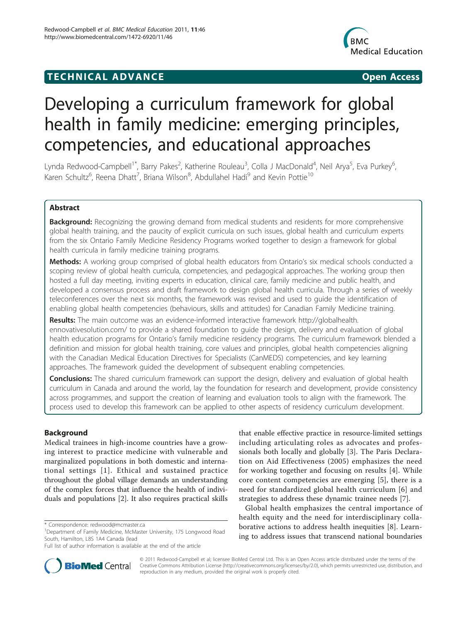## **TECHNICAL ADVANCE CONSUMING EXECUTIVE CONSUMING EXAMPLE 2**



# Developing a curriculum framework for global health in family medicine: emerging principles, competencies, and educational approaches

Lynda Redwood-Campbell<sup>1\*</sup>, Barry Pakes<sup>2</sup>, Katherine Rouleau<sup>3</sup>, Colla J MacDonald<sup>4</sup>, Neil Arya<sup>5</sup>, Eva Purkey<sup>6</sup> י<br>, Karen Schultz<sup>6</sup>, Reena Dhatt<sup>7</sup>, Briana Wilson<sup>8</sup>, Abdullahel Hadi<sup>9</sup> and Kevin Pottie<sup>10</sup>

## Abstract

**Background:** Recognizing the growing demand from medical students and residents for more comprehensive global health training, and the paucity of explicit curricula on such issues, global health and curriculum experts from the six Ontario Family Medicine Residency Programs worked together to design a framework for global health curricula in family medicine training programs.

Methods: A working group comprised of global health educators from Ontario's six medical schools conducted a scoping review of global health curricula, competencies, and pedagogical approaches. The working group then hosted a full day meeting, inviting experts in education, clinical care, family medicine and public health, and developed a consensus process and draft framework to design global health curricula. Through a series of weekly teleconferences over the next six months, the framework was revised and used to guide the identification of enabling global health competencies (behaviours, skills and attitudes) for Canadian Family Medicine training.

Results: The main outcome was an evidence-informed interactive framework [http://globalhealth.](http://globalhealth.ennovativesolution.com/) [ennovativesolution.com/](http://globalhealth.ennovativesolution.com/) to provide a shared foundation to guide the design, delivery and evaluation of global health education programs for Ontario's family medicine residency programs. The curriculum framework blended a definition and mission for global health training, core values and principles, global health competencies aligning with the Canadian Medical Education Directives for Specialists (CanMEDS) competencies, and key learning approaches. The framework guided the development of subsequent enabling competencies.

Conclusions: The shared curriculum framework can support the design, delivery and evaluation of global health curriculum in Canada and around the world, lay the foundation for research and development, provide consistency across programmes, and support the creation of learning and evaluation tools to align with the framework. The process used to develop this framework can be applied to other aspects of residency curriculum development.

## Background

Medical trainees in high-income countries have a growing interest to practice medicine with vulnerable and marginalized populations in both domestic and international settings [[1](#page-6-0)]. Ethical and sustained practice throughout the global village demands an understanding of the complex forces that influence the health of individuals and populations [[2\]](#page-6-0). It also requires practical skills

that enable effective practice in resource-limited settings including articulating roles as advocates and professionals both locally and globally [[3\]](#page-6-0). The Paris Declaration on Aid Effectiveness (2005) emphasizes the need for working together and focusing on results [4]. While core content competencies are emerging [[5\]](#page-6-0), there is a need for standardized global health curriculum [[6\]](#page-6-0) and strategies to address these dynamic trainee needs [\[7](#page-6-0)].

Global health emphasizes the central importance of health equity and the need for interdisciplinary collaborative actions to address health inequities [\[8](#page-6-0)]. Learning to address issues that transcend national boundaries



© 2011 Redwood-Campbell et al; licensee BioMed Central Ltd. This is an Open Access article distributed under the terms of the Creative Commons Attribution License (<http://creativecommons.org/licenses/by/2.0>), which permits unrestricted use, distribution, and reproduction in any medium, provided the original work is properly cited.

<sup>\*</sup> Correspondence: [redwood@mcmaster.ca](mailto:redwood@mcmaster.ca)

<sup>&</sup>lt;sup>1</sup>Department of Family Medicine, McMaster University, 175 Longwood Road South, Hamilton, L8S 1A4 Canada (lead

Full list of author information is available at the end of the article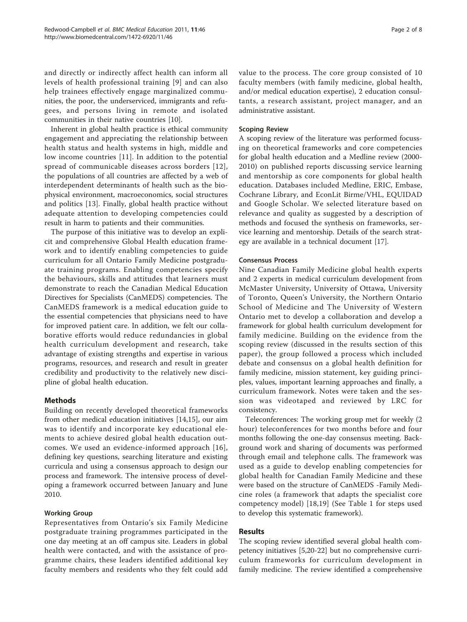and directly or indirectly affect health can inform all levels of health professional training [[9\]](#page-6-0) and can also help trainees effectively engage marginalized communities, the poor, the underserviced, immigrants and refugees, and persons living in remote and isolated communities in their native countries [[10\]](#page-6-0).

Inherent in global health practice is ethical community engagement and appreciating the relationship between health status and health systems in high, middle and low income countries [[11](#page-6-0)]. In addition to the potential spread of communicable diseases across borders [[12](#page-6-0)], the populations of all countries are affected by a web of interdependent determinants of health such as the biophysical environment, macroeconomics, social structures and politics [\[13](#page-6-0)]. Finally, global health practice without adequate attention to developing competencies could result in harm to patients and their communities.

The purpose of this initiative was to develop an explicit and comprehensive Global Health education framework and to identify enabling competencies to guide curriculum for all Ontario Family Medicine postgraduate training programs. Enabling competencies specify the behaviours, skills and attitudes that learners must demonstrate to reach the Canadian Medical Education Directives for Specialists (CanMEDS) competencies. The CanMEDS framework is a medical education guide to the essential competencies that physicians need to have for improved patient care. In addition, we felt our collaborative efforts would reduce redundancies in global health curriculum development and research, take advantage of existing strengths and expertise in various programs, resources, and research and result in greater credibility and productivity to the relatively new discipline of global health education.

## Methods

Building on recently developed theoretical frameworks from other medical education initiatives [[14,15\]](#page-6-0), our aim was to identify and incorporate key educational elements to achieve desired global health education outcomes. We used an evidence-informed approach [[16\]](#page-6-0), defining key questions, searching literature and existing curricula and using a consensus approach to design our process and framework. The intensive process of developing a framework occurred between January and June 2010.

## Working Group

Representatives from Ontario's six Family Medicine postgraduate training programmes participated in the one day meeting at an off campus site. Leaders in global health were contacted, and with the assistance of programme chairs, these leaders identified additional key faculty members and residents who they felt could add value to the process. The core group consisted of 10 faculty members (with family medicine, global health, and/or medical education expertise), 2 education consultants, a research assistant, project manager, and an administrative assistant.

## Scoping Review

A scoping review of the literature was performed focussing on theoretical frameworks and core competencies for global health education and a Medline review (2000- 2010) on published reports discussing service learning and mentorship as core components for global health education. Databases included Medline, ERIC, Embase, Cochrane Library, and EconLit Birme/VHL, EQUIDAD and Google Scholar. We selected literature based on relevance and quality as suggested by a description of methods and focused the synthesis on frameworks, service learning and mentorship. Details of the search strategy are available in a technical document [[17\]](#page-6-0).

## Consensus Process

Nine Canadian Family Medicine global health experts and 2 experts in medical curriculum development from McMaster University, University of Ottawa, University of Toronto, Queen's University, the Northern Ontario School of Medicine and The University of Western Ontario met to develop a collaboration and develop a framework for global health curriculum development for family medicine. Building on the evidence from the scoping review (discussed in the results section of this paper), the group followed a process which included debate and consensus on a global health definition for family medicine, mission statement, key guiding principles, values, important learning approaches and finally, a curriculum framework. Notes were taken and the session was videotaped and reviewed by LRC for consistency.

Teleconferences: The working group met for weekly (2 hour) teleconferences for two months before and four months following the one-day consensus meeting. Background work and sharing of documents was performed through email and telephone calls. The framework was used as a guide to develop enabling competencies for global health for Canadian Family Medicine and these were based on the structure of CanMEDS -Family Medicine roles (a framework that adapts the specialist core competency model) [\[18](#page-6-0),[19\]](#page-6-0) (See Table [1](#page-2-0) for steps used to develop this systematic framework).

## Results

The scoping review identified several global health competency initiatives [\[5,20](#page-6-0)-[22](#page-6-0)] but no comprehensive curriculum frameworks for curriculum development in family medicine. The review identified a comprehensive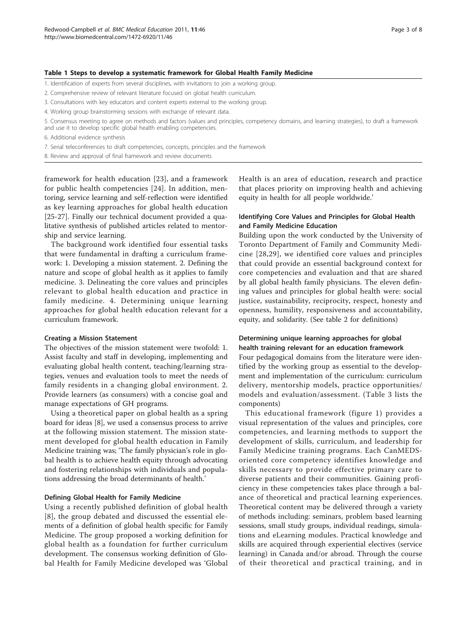#### <span id="page-2-0"></span>Table 1 Steps to develop a systematic framework for Global Health Family Medicine

- 1. Identification of experts from several disciplines, with invitations to join a working group.
- 2. Comprehensive review of relevant literature focused on global health curriculum.
- 3. Consultations with key educators and content experts external to the working group.
- 4. Working group brainstorming sessions with exchange of relevant data.
- 5. Consensus meeting to agree on methods and factors (values and principles, competency domains, and learning strategies), to draft a framework and use it to develop specific global health enabling competencies.

6. Additional evidence synthesis

7. Serial teleconferences to draft competencies, concepts, principles and the framework

8. Review and approval of final framework and review documents

framework for health education [[23](#page-6-0)], and a framework for public health competencies [[24\]](#page-6-0). In addition, mentoring, service learning and self-reflection were identified as key learning approaches for global health education [[25-27](#page-6-0)]. Finally our technical document provided a qualitative synthesis of published articles related to mentorship and service learning.

The background work identified four essential tasks that were fundamental in drafting a curriculum framework: 1. Developing a mission statement. 2. Defining the nature and scope of global health as it applies to family medicine. 3. Delineating the core values and principles relevant to global health education and practice in family medicine. 4. Determining unique learning approaches for global health education relevant for a curriculum framework.

## Creating a Mission Statement

The objectives of the mission statement were twofold: 1. Assist faculty and staff in developing, implementing and evaluating global health content, teaching/learning strategies, venues and evaluation tools to meet the needs of family residents in a changing global environment. 2. Provide learners (as consumers) with a concise goal and manage expectations of GH programs.

Using a theoretical paper on global health as a spring board for ideas [[8](#page-6-0)], we used a consensus process to arrive at the following mission statement. The mission statement developed for global health education in Family Medicine training was; 'The family physician's role in global health is to achieve health equity through advocating and fostering relationships with individuals and populations addressing the broad determinants of health.'

#### Defining Global Health for Family Medicine

Using a recently published definition of global health [[8](#page-6-0)], the group debated and discussed the essential elements of a definition of global health specific for Family Medicine. The group proposed a working definition for global health as a foundation for further curriculum development. The consensus working definition of Global Health for Family Medicine developed was 'Global

Health is an area of education, research and practice that places priority on improving health and achieving equity in health for all people worldwide.'

## Identifying Core Values and Principles for Global Health and Family Medicine Education

Building upon the work conducted by the University of Toronto Department of Family and Community Medicine [[28](#page-6-0),[29](#page-6-0)], we identified core values and principles that could provide an essential background context for core competencies and evaluation and that are shared by all global health family physicians. The eleven defining values and principles for global health were: social justice, sustainability, reciprocity, respect, honesty and openness, humility, responsiveness and accountability, equity, and solidarity. (See table [2](#page-3-0) for definitions)

## Determining unique learning approaches for global health training relevant for an education framework

Four pedagogical domains from the literature were identified by the working group as essential to the development and implementation of the curriculum: curriculum delivery, mentorship models, practice opportunities/ models and evaluation/assessment. (Table [3](#page-3-0) lists the components)

This educational framework (figure [1](#page-4-0)) provides a visual representation of the values and principles, core competencies, and learning methods to support the development of skills, curriculum, and leadership for Family Medicine training programs. Each CanMEDSoriented core competency identifies knowledge and skills necessary to provide effective primary care to diverse patients and their communities. Gaining proficiency in these competencies takes place through a balance of theoretical and practical learning experiences. Theoretical content may be delivered through a variety of methods including: seminars, problem based learning sessions, small study groups, individual readings, simulations and eLearning modules. Practical knowledge and skills are acquired through experiential electives (service learning) in Canada and/or abroad. Through the course of their theoretical and practical training, and in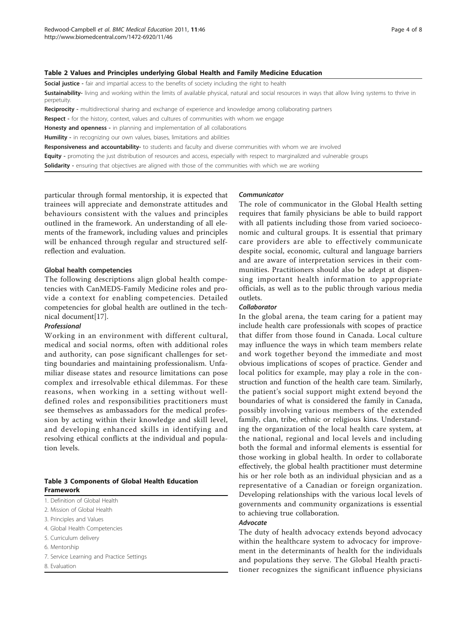#### <span id="page-3-0"></span>Table 2 Values and Principles underlying Global Health and Family Medicine Education

Social justice - fair and impartial access to the benefits of society including the right to health

Sustainability- living and working within the limits of available physical, natural and social resources in ways that allow living systems to thrive in perpetuity.

Reciprocity - multidirectional sharing and exchange of experience and knowledge among collaborating partners

Respect - for the history, context, values and cultures of communities with whom we engage

Honesty and openness - in planning and implementation of all collaborations

Humility - in recognizing our own values, biases, limitations and abilities

Responsiveness and accountability- to students and faculty and diverse communities with whom we are involved

Equity - promoting the just distribution of resources and access, especially with respect to marginalized and vulnerable groups

Solidarity - ensuring that objectives are aligned with those of the communities with which we are working

particular through formal mentorship, it is expected that trainees will appreciate and demonstrate attitudes and behaviours consistent with the values and principles outlined in the framework. An understanding of all elements of the framework, including values and principles will be enhanced through regular and structured selfreflection and evaluation.

#### Global health competencies

The following descriptions align global health competencies with CanMEDS-Family Medicine roles and provide a context for enabling competencies. Detailed competencies for global health are outlined in the technical document[17].

## Professional

Working in an environment with different cultural, medical and social norms, often with additional roles and authority, can pose significant challenges for setting boundaries and maintaining professionalism. Unfamiliar disease states and resource limitations can pose complex and irresolvable ethical dilemmas. For these reasons, when working in a setting without welldefined roles and responsibilities practitioners must see themselves as ambassadors for the medical profession by acting within their knowledge and skill level, and developing enhanced skills in identifying and resolving ethical conflicts at the individual and population levels.

## Table 3 Components of Global Health Education Framework

| 1. Definition of Global Health            |
|-------------------------------------------|
| 2. Mission of Global Health               |
| 3. Principles and Values                  |
| 4. Global Health Competencies             |
| 5. Curriculum delivery                    |
| 6. Mentorship                             |
| 7. Service Learning and Practice Settings |
| 8. Evaluation                             |

#### Communicator

The role of communicator in the Global Health setting requires that family physicians be able to build rapport with all patients including those from varied socioeconomic and cultural groups. It is essential that primary care providers are able to effectively communicate despite social, economic, cultural and language barriers and are aware of interpretation services in their communities. Practitioners should also be adept at dispensing important health information to appropriate officials, as well as to the public through various media outlets.

#### Collaborator

In the global arena, the team caring for a patient may include health care professionals with scopes of practice that differ from those found in Canada. Local culture may influence the ways in which team members relate and work together beyond the immediate and most obvious implications of scopes of practice. Gender and local politics for example, may play a role in the construction and function of the health care team. Similarly, the patient's social support might extend beyond the boundaries of what is considered the family in Canada, possibly involving various members of the extended family, clan, tribe, ethnic or religious kins. Understanding the organization of the local health care system, at the national, regional and local levels and including both the formal and informal elements is essential for those working in global health. In order to collaborate effectively, the global health practitioner must determine his or her role both as an individual physician and as a representative of a Canadian or foreign organization. Developing relationships with the various local levels of governments and community organizations is essential to achieving true collaboration.

## Advocate

The duty of health advocacy extends beyond advocacy within the healthcare system to advocacy for improvement in the determinants of health for the individuals and populations they serve. The Global Health practitioner recognizes the significant influence physicians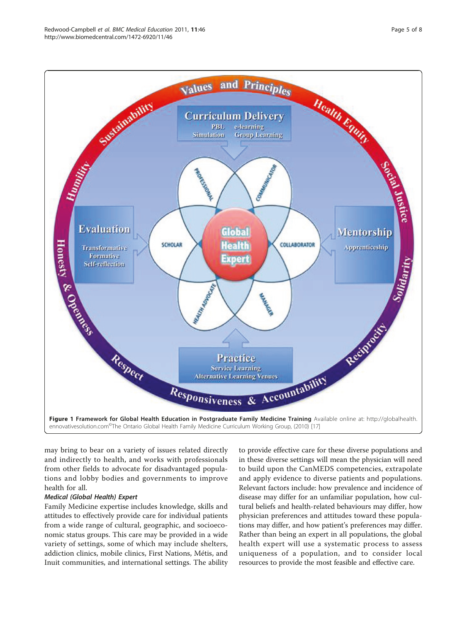<span id="page-4-0"></span>

may bring to bear on a variety of issues related directly and indirectly to health, and works with professionals from other fields to advocate for disadvantaged populations and lobby bodies and governments to improve health for all.

## Medical (Global Health) Expert

Family Medicine expertise includes knowledge, skills and attitudes to effectively provide care for individual patients from a wide range of cultural, geographic, and socioeconomic status groups. This care may be provided in a wide variety of settings, some of which may include shelters, addiction clinics, mobile clinics, First Nations, Métis, and Inuit communities, and international settings. The ability

to provide effective care for these diverse populations and in these diverse settings will mean the physician will need to build upon the CanMEDS competencies, extrapolate and apply evidence to diverse patients and populations. Relevant factors include: how prevalence and incidence of disease may differ for an unfamiliar population, how cultural beliefs and health-related behaviours may differ, how physician preferences and attitudes toward these populations may differ, and how patient's preferences may differ. Rather than being an expert in all populations, the global health expert will use a systematic process to assess uniqueness of a population, and to consider local resources to provide the most feasible and effective care.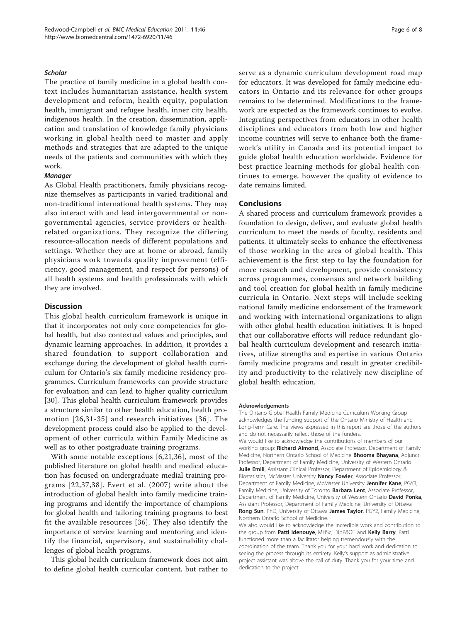## **Scholar**

The practice of family medicine in a global health context includes humanitarian assistance, health system development and reform, health equity, population health, immigrant and refugee health, inner city health, indigenous health. In the creation, dissemination, application and translation of knowledge family physicians working in global health need to master and apply methods and strategies that are adapted to the unique needs of the patients and communities with which they work.

#### Manager

As Global Health practitioners, family physicians recognize themselves as participants in varied traditional and non-traditional international health systems. They may also interact with and lead intergovernmental or nongovernmental agencies, service providers or healthrelated organizations. They recognize the differing resource-allocation needs of different populations and settings. Whether they are at home or abroad, family physicians work towards quality improvement (efficiency, good management, and respect for persons) of all health systems and health professionals with which they are involved.

## **Discussion**

This global health curriculum framework is unique in that it incorporates not only core competencies for global health, but also contextual values and principles, and dynamic learning approaches. In addition, it provides a shared foundation to support collaboration and exchange during the development of global health curriculum for Ontario's six family medicine residency programmes. Curriculum frameworks can provide structure for evaluation and can lead to higher quality curriculum [[30\]](#page-6-0). This global health curriculum framework provides a structure similar to other health education, health promotion [[26](#page-6-0),[31-](#page-6-0)[35](#page-7-0)] and research initiatives [[36\]](#page-7-0). The development process could also be applied to the development of other curricula within Family Medicine as well as to other postgraduate training programs.

With some notable exceptions [[6,21,](#page-6-0)[36](#page-7-0)], most of the published literature on global health and medical education has focused on undergraduate medial training programs [[22](#page-6-0),[37](#page-7-0),[38](#page-7-0)]. Evert et al. (2007) write about the introduction of global health into family medicine training programs and identify the importance of champions for global health and tailoring training programs to best fit the available resources [[36\]](#page-7-0). They also identify the importance of service learning and mentoring and identify the financial, supervisory, and sustainability challenges of global health programs.

This global health curriculum framework does not aim to define global health curricular content, but rather to serve as a dynamic curriculum development road map for educators. It was developed for family medicine educators in Ontario and its relevance for other groups remains to be determined. Modifications to the framework are expected as the framework continues to evolve. Integrating perspectives from educators in other health disciplines and educators from both low and higher income countries will serve to enhance both the framework's utility in Canada and its potential impact to guide global health education worldwide. Evidence for best practice learning methods for global health continues to emerge, however the quality of evidence to date remains limited.

## Conclusions

A shared process and curriculum framework provides a foundation to design, deliver, and evaluate global health curriculum to meet the needs of faculty, residents and patients. It ultimately seeks to enhance the effectiveness of those working in the area of global health. This achievement is the first step to lay the foundation for more research and development, provide consistency across programmes, consensus and network building and tool creation for global health in family medicine curricula in Ontario. Next steps will include seeking national family medicine endorsement of the framework and working with international organizations to align with other global health education initiatives. It is hoped that our collaborative efforts will reduce redundant global health curriculum development and research initiatives, utilize strengths and expertise in various Ontario family medicine programs and result in greater credibility and productivity to the relatively new discipline of global health education.

#### Acknowledgements

The Ontario Global Health Family Medicine Curriculum Working Group acknowledges the funding support of the Ontario Ministry of Health and Long-Term Care. The views expressed in this report are those of the authors and do not necessarily reflect those of the funders.

We would like to acknowledge the contributions of members of our working group: Richard Almond, Associate Professor, Department of Family Medicine, Northern Ontario School of Medicine **Bhooma Bhayana**, Adjunct Professor, Department of Family Medicine, University of Western Ontario **Julie Emili**, Assistant Clinical Professor, Department of Epidemiology & Biostatistics, McMaster University Nancy Fowler, Associate Professor, Department of Family Medicine, McMaster University Jennifer Kane, PGY3, Family Medicine, University of Toronto **Barbara Lent**, Associate Professor, Department of Family Medicine, University of Western Ontario David Ponka, Assistant Professor, Department of Family Medicine, University of Ottawa Rong Sun, PhD, University of Ottawa James Taylor, PGY2, Family Medicine, Northern Ontario School of Medicine.

We also would like to acknowledge the incredible work and contribution to the group from Patti Idenouye, MHSc, DipP&OT and Kelly Barry. Patti functioned more than a facilitator helping tremendously with the coordination of the team. Thank you for your hard work and dedication to seeing the process through its entirety. Kelly's support as administrative project assistant was above the call of duty. Thank you for your time and dedication to the project.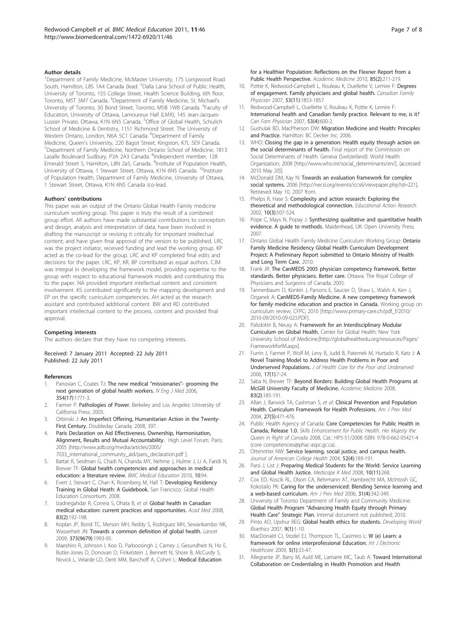#### <span id="page-6-0"></span>Author details

<sup>1</sup>Department of Family Medicine, McMaster University, 175 Longwood Road South, Hamilton, L8S 1A4 Canada (lead. <sup>2</sup>Dalla Lana School of Public Health, University of Toronto, 155 College Street, Health Science Building, 6th floor, Toronto, M5T 3M7 Canada. <sup>3</sup>Department of Family Medicine, St. Michael's University of Toronto, 30 Bond Street, Toronto, M5B 1W8 Canada. <sup>4</sup>Faculty of Education, University of Ottawa, Lamoureux Hall (LMX), 145 Jean-Jacques-Lussier Private, Ottawa, K1N 6N5 Canada. <sup>5</sup>Office of Global Health, Schulich School of Medicine & Dentistry, 1151 Richmond Street. The University of Western Ontario, London, N6A 5C1 Canada. <sup>6</sup>Department of Family Medicine, Queen's University, 220 Bagot Street, Kingston, K7L 5E9 Canada. <sup>7</sup> Department of Family Medicine, Northern Ontario School of Medicine, 1813 Lasalle Boulevard Sudbury, P3A 2A3 Canada. <sup>8</sup>Independent member, 128 Emerald Street S, Hamilton, L8N 2a5, Canada. <sup>9</sup>Institute of Population Health, University of Ottawa, 1 Stewart Street, Ottawa, K1N 6N5 Canada. <sup>10</sup>Institute of Population Health, Department of Family Medicine, University of Ottawa, 1 Stewart Street, Ottawa, K1N 6N5 Canada (co-lead.

#### Authors' contributions

This paper was an output of the Ontario Global Health Family medicine curriculum working group. This paper is truly the result of a combined group effort. All authors have made substantial contributions to conception and design, analysis and interpretation of data, have been involved in drafting the manuscript or revising it critically for important intellectual content; and have given final approval of the version to be published. LRC was the project initiator, received funding and lead the working group. KP acted as the co-lead for the group. LRC and KP completed final edits and decisions for the paper. LRC, KP, KR, BP contributed as equal authors. CJM was integral in developing the framework model, providing expertise to the group with respect to educational framework models and contributing this to the paper. NA provided important intellectual content and consistent involvement. KS contributed significantly to the mapping development and EP on the specific curriculum competencies. AH acted as the research assistant and contributed additional content. BW and RD contributed important intellectual content to the process, content and provided final approval.

#### Competing interests

The authors declare that they have no competing interests.

Received: 7 January 2011 Accepted: 22 July 2011 Published: 22 July 2011

#### References

- 1. Panosian C, Coates TJ: The new medical "missionaries"- grooming the next generation of global health workers. N Eng J Med 2006, 354(17):1771-3.
- 2. Farmer P: Pathologies of Power. Berkeley and Los Angeles: University of California Press; 2003.
- 3. Orbinski J: An Imperfect Offering, Humanitarian Action in the Twenty-First Century. Doubleday Canada; 2008, 397.
- 4. Paris Declaration on Aid Effectiveness. Ownership, Harmonisation, Alignment, Results and Mutual Accountability. High Level Forum. Paris; 2005 [\[http://www.adb.org/media/articles/2005/](http://www.adb.org/media/articles/2005/7033_international_community_aid/paris_declaration.pdf )
- [7033\\_international\\_community\\_aid/paris\\_declaration.pdf](http://www.adb.org/media/articles/2005/7033_international_community_aid/paris_declaration.pdf ) ]. Battat R, Seidman G, Chadi N, Chanda MY, Nehme J, Hulme J, Li A, Faridi N, Brewer TF: [Global health competencies and approaches in medical](http://www.ncbi.nlm.nih.gov/pubmed/21176226?dopt=Abstract)
- [education: a literature review.](http://www.ncbi.nlm.nih.gov/pubmed/21176226?dopt=Abstract) BMC Medical Education 2010, 10:94. 6. Evert J, Stewart C, Chan K, Rosenberg M, Hall T: Developing Residency Training in Global Heath: A Guidebook. San Francisco: Global Health Education Consortium; 2008.
- Izadnegahdar R, Correia S, Ohata B, et al: [Global health in Canadian](http://www.ncbi.nlm.nih.gov/pubmed/18303368?dopt=Abstract) [medical education: current practices and opportunities.](http://www.ncbi.nlm.nih.gov/pubmed/18303368?dopt=Abstract) Acad Med 2008, 83(2):192-198.
- 8. Koplan JP, Bond TC, Merson MH, Reddy S, Rodriguez MH, Sewankambo NK, Wasserheit JN: [Towards a common definition of global health.](http://www.ncbi.nlm.nih.gov/pubmed/19493564?dopt=Abstract) Lancet 2009, 373(9679):1993-95.
- Maeshiro R, Johnson I, Koo D, Parboosingh J, Carney J, Gesundheit N, Ho E, Butler-Jones D, Donovan D, Finkelstein J, Bennett N, Shore B, McCurdy S, Novick L, Velarde LD, Dent MM, Banchoff A, Cohen L: [Medical Education](http://www.ncbi.nlm.nih.gov/pubmed/20107345?dopt=Abstract)

[for a Healthier Population: Reflections on the Flexner Report from a](http://www.ncbi.nlm.nih.gov/pubmed/20107345?dopt=Abstract) [Public Health Perspective.](http://www.ncbi.nlm.nih.gov/pubmed/20107345?dopt=Abstract) Academic Medicine 2010, 85(2):211-219.

- 10. Pottie K, Redwood-Campbell L, Rouleau K, Ouellette V, Lemire F: [Degrees](http://www.ncbi.nlm.nih.gov/pubmed/18000243?dopt=Abstract) [of engagement. Family physicians and global health.](http://www.ncbi.nlm.nih.gov/pubmed/18000243?dopt=Abstract) Canadian Family Physician 2007, 53(11):1853-1857.
- 11. Redwood-Campbell L, Ouellette V, Rouleau K, Pottie K, Lemire F: [International health and Canadian family practice. Relevant to me, is it?](http://www.ncbi.nlm.nih.gov/pubmed/17872699?dopt=Abstract) Can Fam Physician 2007, 53(4):600-2.
- 12. Gushulak BD, MacPherson DW: Migration Medicine and Health: Principles and Practice. Hamilton: BC Decker Inc; 2006.
- 13. WHO: Closing the gap in a generation: Health equity through action on the social determinants of health. Final report of the Commission on Social Determinants of Health. Geneva (Switzerland): World Health Organization; 2008 [\[http://www.who.int/social\\_determinants/en/\]](http://www.who.int/social_determinants/en/), (accessed 2010 May 20)].
- 14. McDonald DM, Kay N: Towards an evaluation framework for complex social systems. 2006 [[http://necsi.org/events/iccs6/viewpaper.php?id=221\]](http://necsi.org/events/iccs6/viewpaper.php?id=221), Retrieved May 10, 2007 from.
- 15. Phelps R, Hase S: Complexity and action research: Exploring the theoretical and methodological connection. Educational Action Research 2002, 10(3):507-524.
- 16. Pope C, Mays N, Popay J: Synthesizing qualitative and quantitative health evidence. A guide to methods. Maidenhead, UK: Open University Press; 2007.
- 17. Ontario Global Health Family Medicine Curriculum Working Group: Ontario Family Medicine Residency Global Health Curriculum Development Project: A Preliminary Report submitted to Ontario Ministry of Health and Long Term Care. 2010.
- 18. Frank JR: The CanMEDS 2005 physician competency framework. Better standards. Better physicians. Better care. Ottawa: The Royal College of Physicians and Surgeons of Canada; 2005.
- 19. Tannenbaum D, Konkin J, Parsons E, Saucier D, Shaw L, Walsh A, Kerr J, Organek A: CanMEDS-Family Medicine. A new competency framework for family medicine education and practice in Canada. Working group on curriculum review, CFPC; 2010 [[http://www.primary-care.ch/pdf\\_f/2010/](http://www.primary-care.ch/pdf_f/2010/2010-09/2010-09-023.PDF) [2010-09/2010-09-023.PDF\]](http://www.primary-care.ch/pdf_f/2010/2010-09/2010-09-023.PDF).
- 20. Palsdottir B, Neusy A: Framework for an Interdisciplinary Modular Curriculum on Global Health. Center for Global Health: New York University School of Medicine;[\[http://globalhealthedu.org/resources/Pages/](http://globalhealthedu.org/resources/Pages/FrameworkforIM.aspx) [FrameworkforIM.aspx\]](http://globalhealthedu.org/resources/Pages/FrameworkforIM.aspx).
- 21. Furrin J, Farmer P, Wolf M, Levy B, Judd B, Paternek M, Hurtado R, Katz J: A Novel Training Model to Address Health Problems in Poor and Underserved Populations. J of Health Care for the Poor and Underserved 2006, 17(1):7-24.
- 22. Saba N, Brewer TF: [Beyond Borders: Building Global Health Programs at](http://www.ncbi.nlm.nih.gov/pubmed/18303367?dopt=Abstract) [McGill University Faculty of Medicine.](http://www.ncbi.nlm.nih.gov/pubmed/18303367?dopt=Abstract) Academic Medicine 2008, 83(2):185-191.
- 23. Allan J, Barwick TA, Cashman S, et al: [Clinical Prevention and Population](http://www.ncbi.nlm.nih.gov/pubmed/15556746?dopt=Abstract) [Health. Curriculum Framework for Health Professions.](http://www.ncbi.nlm.nih.gov/pubmed/15556746?dopt=Abstract) Am J Prev Med 2004, 27(5):471-476.
- 24. Public Health Agency of Canada: Core Competencies for Public Health in Canada, Release 1.0. Skills Enhancement for Public Health. Her Majesty the Queen in Right of Canada 2008, Cat.: HP5-51/2008 ISBN: 978-0-662-05421-4 (core competencies@phac-aspc.gc.ca). .
- 25. Ottenritter NW: [Service learning, social justice, and campus health.](http://www.ncbi.nlm.nih.gov/pubmed/15018430?dopt=Abstract) Journal of American College Health 2004, 52(4):189-191.
- 26. Parsi J, List J: Preparing Medical Students for the World: Service Learning and Global Health Justice. Medscape K Med 2008, 10(11):268.
- 27. Cox ED, Koscik RL, Olson CA, Behrmann AT, Hambrecht MA, McIntosh GC, Kokotailo PK: [Caring for the underserviced: Blending Service learning and](http://www.ncbi.nlm.nih.gov/pubmed/16979460?dopt=Abstract) [a web-based curriculum.](http://www.ncbi.nlm.nih.gov/pubmed/16979460?dopt=Abstract) Am J Prev Med 2006, 31(4):342-349.
- 28. University of Toronto Department of Family and Community Medicine: Global Health Program "Advancing Health Equity through Primary Health Care" Strategic Plan. Internal document not published; 2010.
- 29. Pinto AD, Upshur REG: Global health ethics for students. Developing World Bioethics 2007, 9(1):1-10.
- 30. MacDonald CJ, Stodel EJ, Thompson TL, Casimiro L: W (e) Learn: a framework for online interprofessional Education. Int J Electronic Healthcare 2009, 5(1):33-47.
- 31. Allegrante JP, Barry M, Auld ME, Lamarre MC, Taub A: Toward International Collaboration on Credentialing in Health Promotion and Health